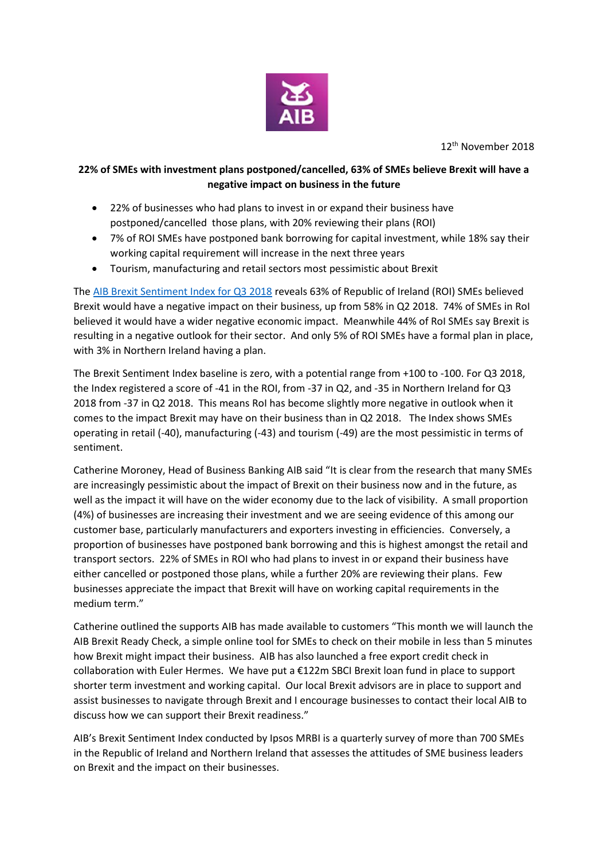

12th November 2018

## **22% of SMEs with investment plans postponed/cancelled, 63% of SMEs believe Brexit will have a negative impact on business in the future**

- 22% of businesses who had plans to invest in or expand their business have postponed/cancelled those plans, with 20% reviewing their plans (ROI)
- 7% of ROI SMEs have postponed bank borrowing for capital investment, while 18% say their working capital requirement will increase in the next three years
- Tourism, manufacturing and retail sectors most pessimistic about Brexit

The [AIB Brexit Sentiment Index for Q3 2018](https://aib.ie/content/dam/aib/fxcentre/docs/brexit-sentiment-index-q3-2018.pdf) reveals 63% of Republic of Ireland (ROI) SMEs believed Brexit would have a negative impact on their business, up from 58% in Q2 2018. 74% of SMEs in RoI believed it would have a wider negative economic impact. Meanwhile 44% of RoI SMEs say Brexit is resulting in a negative outlook for their sector. And only 5% of ROI SMEs have a formal plan in place, with 3% in Northern Ireland having a plan.

The Brexit Sentiment Index baseline is zero, with a potential range from +100 to -100. For Q3 2018, the Index registered a score of -41 in the ROI, from -37 in Q2, and -35 in Northern Ireland for Q3 2018 from -37 in Q2 2018. This means RoI has become slightly more negative in outlook when it comes to the impact Brexit may have on their business than in Q2 2018. The Index shows SMEs operating in retail (-40), manufacturing (-43) and tourism (-49) are the most pessimistic in terms of sentiment.

Catherine Moroney, Head of Business Banking AIB said "It is clear from the research that many SMEs are increasingly pessimistic about the impact of Brexit on their business now and in the future, as well as the impact it will have on the wider economy due to the lack of visibility. A small proportion (4%) of businesses are increasing their investment and we are seeing evidence of this among our customer base, particularly manufacturers and exporters investing in efficiencies. Conversely, a proportion of businesses have postponed bank borrowing and this is highest amongst the retail and transport sectors. 22% of SMEs in ROI who had plans to invest in or expand their business have either cancelled or postponed those plans, while a further 20% are reviewing their plans. Few businesses appreciate the impact that Brexit will have on working capital requirements in the medium term."

Catherine outlined the supports AIB has made available to customers "This month we will launch the AIB Brexit Ready Check, a simple online tool for SMEs to check on their mobile in less than 5 minutes how Brexit might impact their business. AIB has also launched a free export credit check in collaboration with Euler Hermes. We have put a €122m SBCI Brexit loan fund in place to support shorter term investment and working capital. Our local Brexit advisors are in place to support and assist businesses to navigate through Brexit and I encourage businesses to contact their local AIB to discuss how we can support their Brexit readiness."

AIB's Brexit Sentiment Index conducted by Ipsos MRBI is a quarterly survey of more than 700 SMEs in the Republic of Ireland and Northern Ireland that assesses the attitudes of SME business leaders on Brexit and the impact on their businesses.